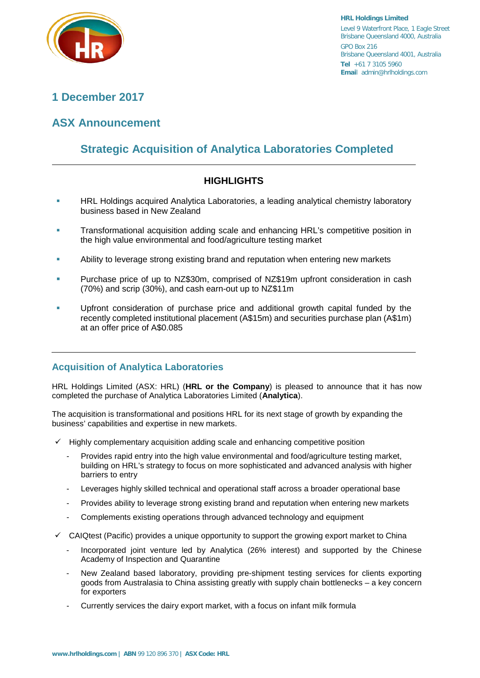

# **1 December 2017**

# **ASX Announcement**

# **Strategic Acquisition of Analytica Laboratories Completed**

# **HIGHLIGHTS**

- HRL Holdings acquired Analytica Laboratories, a leading analytical chemistry laboratory business based in New Zealand
- Transformational acquisition adding scale and enhancing HRL's competitive position in the high value environmental and food/agriculture testing market
- Ability to leverage strong existing brand and reputation when entering new markets
- Purchase price of up to NZ\$30m, comprised of NZ\$19m upfront consideration in cash (70%) and scrip (30%), and cash earn-out up to NZ\$11m
- Upfront consideration of purchase price and additional growth capital funded by the recently completed institutional placement (A\$15m) and securities purchase plan (A\$1m) at an offer price of A\$0.085

# **Acquisition of Analytica Laboratories**

HRL Holdings Limited (ASX: HRL) (**HRL or the Company**) is pleased to announce that it has now completed the purchase of Analytica Laboratories Limited (**Analytica**).

The acquisition is transformational and positions HRL for its next stage of growth by expanding the business' capabilities and expertise in new markets.

- $\checkmark$  Highly complementary acquisition adding scale and enhancing competitive position
	- Provides rapid entry into the high value environmental and food/agriculture testing market, building on HRL's strategy to focus on more sophisticated and advanced analysis with higher barriers to entry
	- Leverages highly skilled technical and operational staff across a broader operational base
	- Provides ability to leverage strong existing brand and reputation when entering new markets
	- Complements existing operations through advanced technology and equipment
- CAIQtest (Pacific) provides a unique opportunity to support the growing export market to China
	- Incorporated joint venture led by Analytica (26% interest) and supported by the Chinese Academy of Inspection and Quarantine
	- New Zealand based laboratory, providing pre-shipment testing services for clients exporting goods from Australasia to China assisting greatly with supply chain bottlenecks – a key concern for exporters
	- Currently services the dairy export market, with a focus on infant milk formula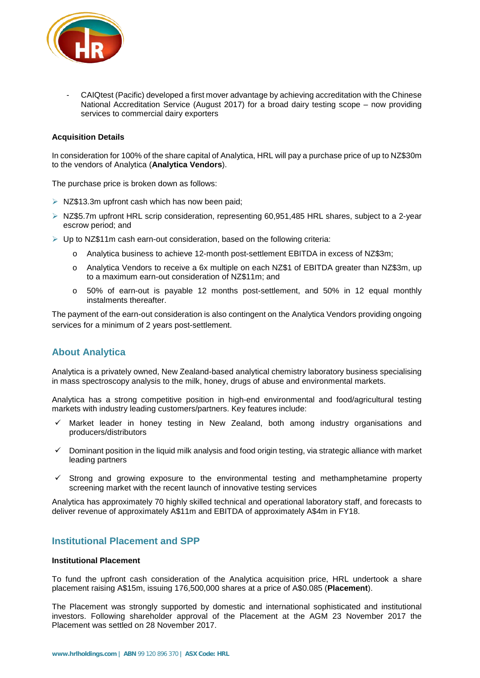

- CAIQtest (Pacific) developed a first mover advantage by achieving accreditation with the Chinese National Accreditation Service (August 2017) for a broad dairy testing scope – now providing services to commercial dairy exporters

#### **Acquisition Details**

In consideration for 100% of the share capital of Analytica, HRL will pay a purchase price of up to NZ\$30m to the vendors of Analytica (**Analytica Vendors**).

The purchase price is broken down as follows:

- $\triangleright$  NZ\$13.3m upfront cash which has now been paid;
- ▶ NZ\$5.7m upfront HRL scrip consideration, representing 60,951,485 HRL shares, subject to a 2-year escrow period; and
- $\triangleright$  Up to NZ\$11m cash earn-out consideration, based on the following criteria:
	- o Analytica business to achieve 12-month post-settlement EBITDA in excess of NZ\$3m;
	- o Analytica Vendors to receive a 6x multiple on each NZ\$1 of EBITDA greater than NZ\$3m, up to a maximum earn-out consideration of NZ\$11m; and
	- o 50% of earn-out is payable 12 months post-settlement, and 50% in 12 equal monthly instalments thereafter.

The payment of the earn-out consideration is also contingent on the Analytica Vendors providing ongoing services for a minimum of 2 years post-settlement.

### **About Analytica**

Analytica is a privately owned, New Zealand-based analytical chemistry laboratory business specialising in mass spectroscopy analysis to the milk, honey, drugs of abuse and environmental markets.

Analytica has a strong competitive position in high-end environmental and food/agricultural testing markets with industry leading customers/partners. Key features include:

- Market leader in honey testing in New Zealand, both among industry organisations and producers/distributors
- $\checkmark$  Dominant position in the liquid milk analysis and food origin testing, via strategic alliance with market leading partners
- $\checkmark$  Strong and growing exposure to the environmental testing and methamphetamine property screening market with the recent launch of innovative testing services

Analytica has approximately 70 highly skilled technical and operational laboratory staff, and forecasts to deliver revenue of approximately A\$11m and EBITDA of approximately A\$4m in FY18.

### **Institutional Placement and SPP**

#### **Institutional Placement**

To fund the upfront cash consideration of the Analytica acquisition price, HRL undertook a share placement raising A\$15m, issuing 176,500,000 shares at a price of A\$0.085 (**Placement**).

The Placement was strongly supported by domestic and international sophisticated and institutional investors. Following shareholder approval of the Placement at the AGM 23 November 2017 the Placement was settled on 28 November 2017.